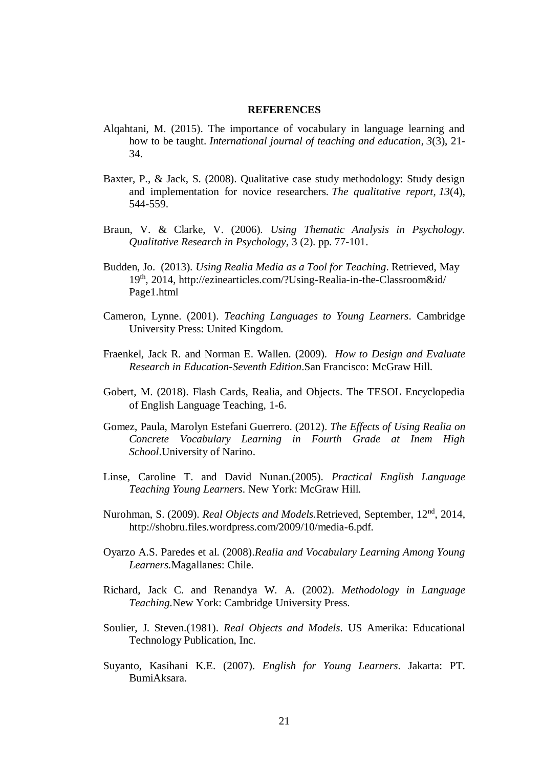## **REFERENCES**

- Alqahtani, M. (2015). The importance of vocabulary in language learning and how to be taught. *International journal of teaching and education*, *3*(3), 21- 34.
- Baxter, P., & Jack, S. (2008). Qualitative case study methodology: Study design and implementation for novice researchers. *The qualitative report*, *13*(4), 544-559.
- Braun, V. & Clarke, V. (2006). *Using Thematic Analysis in Psychology. Qualitative Research in Psychology*, 3 (2). pp. 77-101.
- Budden, Jo. (2013). *Using Realia Media as a Tool for Teaching*. Retrieved, May 19th, 2014, [http://ezinearticles.com/?Using-](http://ezinearticles.com/?Using)Realia-in-the-Classroom&id/ Page1.html
- Cameron, Lynne. (2001). *Teaching Languages to Young Learners*. Cambridge University Press: United Kingdom.
- Fraenkel, Jack R. and Norman E. Wallen. (2009). *How to Design and Evaluate Research in Education-Seventh Edition*.San Francisco: McGraw Hill.
- Gobert, M. (2018). Flash Cards, Realia, and Objects. The TESOL Encyclopedia of English Language Teaching, 1-6.
- Gomez, Paula, Marolyn Estefani Guerrero. (2012). *The Effects of Using Realia on Concrete Vocabulary Learning in Fourth Grade at Inem High School*.University of Narino.
- Linse, Caroline T. and David Nunan.(2005). *Practical English Language Teaching Young Learners*. New York: McGraw Hill.
- Nurohman, S. (2009). *Real Objects and Models*. Retrieved, September, 12<sup>nd</sup>, 2014, http://shobru.files.wordpress.com/2009/10/media-6.pdf.
- Oyarzo A.S. Paredes et al. (2008).*Realia and Vocabulary Learning Among Young Learners.*Magallanes: Chile.
- Richard, Jack C. and Renandya W. A. (2002). *Methodology in Language Teaching.*New York: Cambridge University Press.
- Soulier, J. Steven.(1981). *Real Objects and Models*. US Amerika: Educational Technology Publication, Inc.
- Suyanto, Kasihani K.E. (2007). *English for Young Learners*. Jakarta: PT. BumiAksara.